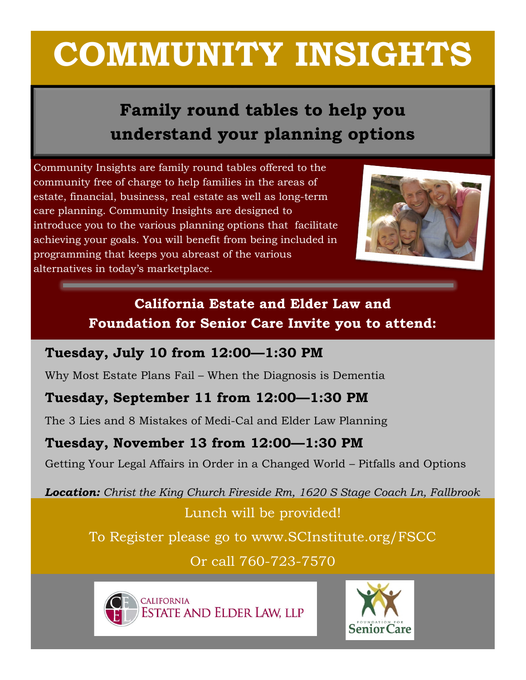# **COMMUNITY INSIGHTS**

# **Family round tables to help you understand your planning options**

Community Insights are family round tables offered to the community free of charge to help families in the areas of estate, financial, business, real estate as well as long-term care planning. Community Insights are designed to introduce you to the various planning options that facilitate achieving your goals. You will benefit from being included in programming that keeps you abreast of the various alternatives in today's marketplace.



### **California Estate and Elder Law and Foundation for Senior Care Invite you to attend:**

#### **Tuesday, July 10 from 12:00—1:30 PM**

Why Most Estate Plans Fail – When the Diagnosis is Dementia

### **Tuesday, September 11 from 12:00—1:30 PM**

The 3 Lies and 8 Mistakes of Medi-Cal and Elder Law Planning

#### **Tuesday, November 13 from 12:00—1:30 PM**

Getting Your Legal Affairs in Order in a Changed World – Pitfalls and Options

*Location: Christ the King Church Fireside Rm, 1620 S Stage Coach Ln, Fallbrook* Lunch will be provided!

To Register please go to www.SCInstitute.org/FSCC

Or call 760-723-7570



**CALIFORNIA ESTATE AND ELDER LAW, LLP**